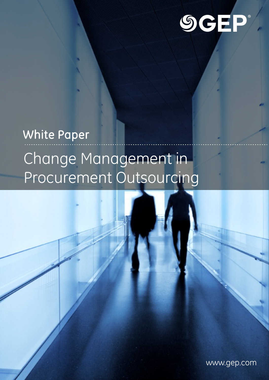

# White Paper Change Management in Procurement Outsourcing

www.gep.com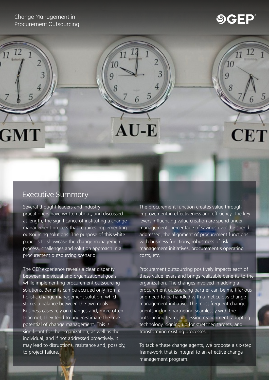Change Management in Procurement Outsourcing

3

12

GMT

# **SGEP**

 $\overline{11}$ 

 $CE^r$ 

 $70$ 

 $\overline{q}$ 

### Executive Summary

Several thought leaders and industry practitioners have written about, and discussed at length, the significance of instituting a change management process that requires implementing outsourcing solutions. The purpose of this white paper is to showcase the [change management](http://www.gep.com/consulting/procurement-transformation/org-design-implementation)  process, challenges and solution approach in a procurement outsourcing scenario.

10

 $AU-E$ 

 $\overline{Q}$ 

The GEP experience reveals a clear disparity between individual and organizational goals, while implementing procurement outsourcing solutions. Benefits can be accrued only from a holistic change management solution, which strikes a balance between the two goals. Business cases rely on changes and, more often than not, they tend to underestimate the true potential of change management. This is significant for the organization, as well as the individual, and if not addressed proactively, it may lead to disruptions, resistance and, possibly, to project failure.

The procurement function creates value through improvement in effectiveness and efficiency. The key levers influencing value creation are spend under management, percentage of savings over the spend addressed, the alignment of procurement functions with business functions, robustness of risk management initiatives, procurement's operating costs, etc.

Procurement outsourcing positively impacts each of these value levers and brings realizable benefits to the organization. The changes involved in adding a procurement outsourcing partner can be multifarious and need to be handled with a meticulous change management initiative. The most frequent change agents include partnering seamlessly with the outsourcing team, processing realignment, adopting technology, signing up for stretched targets, and transforming existing processes.

To tackle these change agents, we propose a six-step framework that is integral to an effective change management program.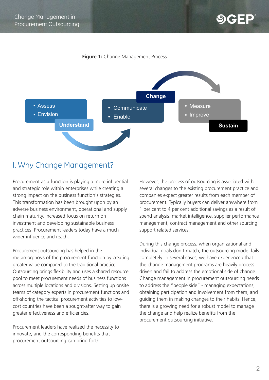#### **Figure 1:** Change Management Process



# I. Why Change Management?

Procurement as a function is playing a more influential and strategic role within enterprises while creating a strong impact on the business function's strategies. This transformation has been brought upon by an adverse business environment, operational and supply chain maturity, increased focus on return on investment and developing sustainable business practices. Procurement leaders today have a much wider influence and reach.

Procurement outsourcing has helped in the metamorphosis of the procurement function by creating greater value compared to the traditional practice. Outsourcing brings flexibility and uses a shared resource pool to meet procurement needs of business functions across multiple locations and divisions. Setting up onsite teams of category experts in procurement functions and off-shoring the tactical procurement activities to lowcost countries have been a sought-after way to gain greater effectiveness and efficiencies.

Procurement leaders have realized the necessity to innovate, and the corresponding benefits that procurement outsourcing can bring forth.

However, the process of outsourcing is associated with several changes to the existing procurement practice and companies expect greater results from each member of procurement. Typically buyers can deliver anywhere from 1 per cent to 4 per cent additional savings as a result of spend analysis, market intelligence, supplier performance management, contract management and other sourcing support related services.

During this change process, when organizational and individual goals don't match, the outsourcing model fails completely. In several cases, we have experienced that the change management programs are heavily process driven and fail to address the emotional side of change. Change management in procurement outsourcing needs to address the "people side" - managing expectations, obtaining participation and involvement from them, and guiding them in making changes to their habits. Hence, there is a growing need for a robust model to manage the change and help realize benefits from the procurement outsourcing initiative.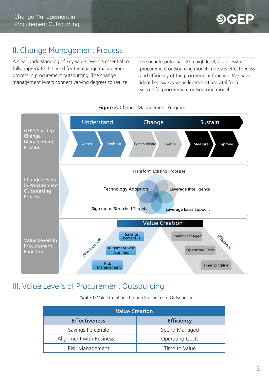# II. Change Management Process

A clear understanding of key value levers is essential to fully appreciate the need for the change management process in procurement outsourcing. The change management levers connect varying degrees to realize

the benefit potential. At a high level, a successful procurement outsourcing model improves effectiveness and efficiency of the procurement function. We have identified six key value levers that are vital for a successful procurement outsourcing model.



#### **Figure 2:** Change Management Program

# III. Value Levers of Procurement Outsourcing

**Table 1:** Value Creation Through Procurement Outsourcing

| <b>Value Creation</b>   |                        |  |  |  |  |
|-------------------------|------------------------|--|--|--|--|
| <b>Effectiveness</b>    | <b>Efficiency</b>      |  |  |  |  |
| Savings Percentile      | Spend Managed          |  |  |  |  |
| Alignment with Business | <b>Operating Costs</b> |  |  |  |  |
| Risk Management         | Time to Value          |  |  |  |  |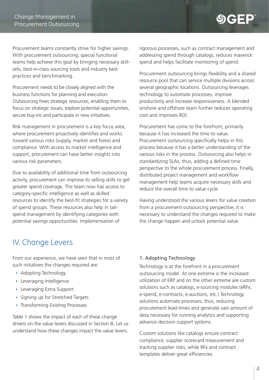# $\mathbf{9}$ GEP

Procurement teams constantly strive for higher savings. With procurement outsourcing, special functional teams help achieve this goal by bringing necessary skillsets, best-in-class sourcing tools and industry best practices and benchmarking.

Procurement needs to be closely aligned with the business functions for planning and execution. Outsourcing frees strategic resources, enabling them to focus on strategic issues, explore potential opportunities, secure buy-ins and participate in new initiatives.

Risk management in procurement is a key focus area, where procurement proactively identifies and works toward various risks (supply, market and forex) and compliance. With access to market intelligence and support, procurement can have better insights into various risk parameters.

Due to availability of additional time from outsourcing activity, procurement can improve its selling skills to get greater spend coverage. The team now has access to category-specific intelligence as well as skilled resources to identify the best-fit strategies for a variety [of spend groups. These resources also help in tail](http://www.gep.com/outsourcing/category-management/tail-spend-management)spend management by identifying categories with potential savings opportunities. Implementation of

# IV. Change Levers

From our experience, we have seen that in most of such initiatives the changes required are:

- Adopting Technology
- Leveraging Intelligence
- Leveraging Extra Support
- Signing up for Stretched Targets
- Transforming Existing Processes

Table 1 shows the impact of each of these change drivers on the value levers discussed in Section III. Let us understand how these changes impact the value levers.

rigorous processes, such as contract management and addressing spend through catalogs, reduces maverick spend and helps facilitate monitoring of spend.

Procurement outsourcing brings flexibility and a shared resource pool that can service multiple divisions across several geographic locations. Outsourcing leverages [technology](http://www.smartbygep.com) to automate processes, improve productivity and increase responsiveness. A blended onshore and offshore team further reduces operating cost and improves ROI.

Procurement has come to the forefront, primarily because it has increased the time to value. Procurement outsourcing specifically helps in this process because it has a better understanding of the various risks in the process. Outsourcing also helps in standardizing SLAs, thus, adding a defined time perspective to the whole [procurement process.](http://www.gep.com/consulting/procurement-transformation/procurement-process-design) Finally, distributed project management and workflow management help teams acquire necessary skills and reduce the overall time to value cycle.

Having understood the various levers for value creation from a procurement outsourcing perspective, it is necessary to understand the changes required to make the change happen and unlock potential value.

#### 1. Adopting Technology

Technology is at the forefront in a procurement outsourcing model. At one extreme is the increased utilization of ERP and on the other extreme are custom solutions such as catalogs, e-sourcing modules (eRFx, e-spend, e-contracts, e-auctions, etc.) Technology solutions automate processes, thus, reducing procurement lead-times and generate vast amount of data necessary for running analytics and supporting advance decision support systems.

Custom solutions like catalogs ensure contract compliance, supplier scorecard measurement and tracking supplier risks, while RFx and contract templates deliver great efficiencies.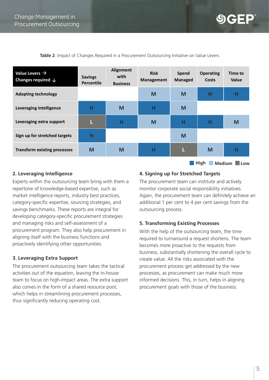$\bigcirc$   $\bigcirc$  - P

| Value Levers $\rightarrow$<br>Changes required $\downarrow$ | <b>Savings</b><br><b>Percentile</b> | <b>Alignment</b><br>with<br><b>Business</b> | <b>Risk</b><br><b>Management</b> | Spend<br><b>Managed</b> | <b>Operating</b><br>Costs | Time to<br>Value |  |  |
|-------------------------------------------------------------|-------------------------------------|---------------------------------------------|----------------------------------|-------------------------|---------------------------|------------------|--|--|
| <b>Adopting technology</b>                                  |                                     |                                             | M                                | M                       | н                         | Н                |  |  |
| Leveraging intelligence                                     | н                                   | M                                           | н                                | M                       |                           |                  |  |  |
| Leveraging extra support                                    | L                                   | н                                           | M                                | н                       | н                         | M                |  |  |
| Sign up for stretched targets                               | н                                   |                                             |                                  | M                       |                           |                  |  |  |
| <b>Transform existing processes</b>                         | M                                   | M                                           | н                                | L                       | M                         | Н                |  |  |
| High<br><b>Medium</b><br>Low                                |                                     |                                             |                                  |                         |                           |                  |  |  |

**Table 2**: Impact of Changes Required in a Procurement Outsourcing Initiative on Value Levers

#### **2. Leveraging Intelligence**

Experts within the outsourcing team bring with them a repertoire of knowledge-based expertise, such as market intelligence reports, industry best practices, category-specific expertise, [sourcing strategies,](http://www.gep.com/procurement-strategy) and savings benchmarks. These reports are integral for developing category-specific procurement strategies and managing risks and self-assessment of a procurement program. They also help procurement in aligning itself with the business functions and proactively identifying other opportunities.

#### **3. Leveraging Extra Support**

The procurement outsourcing team takes the tactical activities out of the equation, leaving the in-house team to focus on high-impact areas. The extra support also comes in the form of a shared resource pool, which helps in streamlining procurement processes, thus significantly reducing operating cost.

#### **4. Signing up for Stretched Targets**

The procurement team can institute and actively monitor corporate social responsibility initiatives. Again, the procurement team can definitely achieve an additional 1 per cent to 4 per cent savings from the outsourcing process.

#### **5. Transforming Existing Processes**

With the help of the outsourcing team, the time required to turnaround a request shortens. The team becomes more proactive to the requests from business, substantially shortening the overall cycle to create value. All the risks associated with the procurement process get addressed by the new processes, as procurement can make much more informed decisions. This, in turn, helps in aligning procurement goals with those of the business.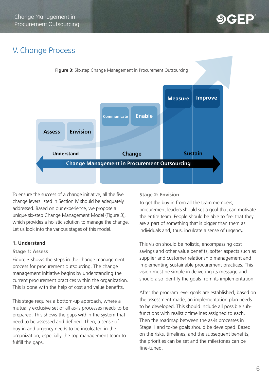# V. Change Process



To ensure the success of a change initiative, all the five change levers listed in Section IV should be adequately addressed. Based on our experience, we propose a unique six-step Change Management Model (Figure 3), which provides a holistic solution to manage the change. Let us look into the various stages of this model.

#### **1. Understand**

#### **Stage 1: Assess**

Figure 3 shows the steps in the change management process for procurement outsourcing. The change management initiative begins by understanding the current procurement practices within the organization. This is done with the help of cost and value benefits.

This stage requires a bottom-up approach, where a mutually exclusive set of all as-is processes needs to be prepared. This shows the gaps within the system that need to be assessed and defined. Then, a sense of buy-in and urgency needs to be inculcated in the organization, especially the top management team to fulfill the gaps.

#### **Stage 2: Envision**

To get the buy-in from all the team members, procurement leaders should set a goal that can motivate the entire team. People should be able to feel that they are a part of something that is bigger than them as individuals and, thus, inculcate a sense of urgency.

This vision should be holistic, encompassing cost savings and other value benefits, softer aspects such as supplier and customer relationship management and implementing sustainable procurement practices. This vision must be simple in delivering its message and should also identify the goals from its implementation.

After the program level goals are established, based on the assessment made, an implementation plan needs to be developed. This should include all possible subfunctions with realistic timelines assigned to each. Then the roadmap between the as-is processes in Stage 1 and to-be goals should be developed. Based on the risks, timelines, and the subsequent benefits, the priorities can be set and the milestones can be fine-tuned.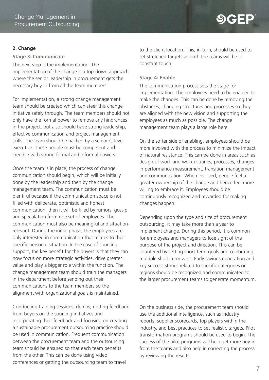#### **2. Change**

#### **Stage 3: Communicate**

The next step is the implementation. The implementation of the change is a top-down approach where the senior leadership in procurement gets the necessary buy-in from all the team members.

For implementation, a strong change management team should be created which can steer this change initiative safely through. The team members should not only have the formal power to remove any hindrances in the project, but also should have strong leadership, effective communication and project management skills. The team should be backed by a senior C-level executive. These people must be competent and credible with strong formal and informal powers.

Once the team is in place, the process of change communication should begin, which will be initially done by the leadership and then by the change management team. The communication must be plentiful because if the communication space is not filled with deliberate, optimistic and honest communication, then it will be filled by rumors, gossip and speculation from one set of employees. The communication must also be meaningful and situationrelevant. During the initial phase, the employees are only interested in communication that relates to their specific personal situation. In the case of sourcing support, the key benefit for the buyers is that they can now focus on more strategic activities, drive greater value and play a bigger role within the function. The change management team should train the managers in the department before sending out their communications to the team members so the alignment with organizational goals is maintained.

Conducting training sessions, demos, getting feedback from buyers on the sourcing initiatives and incorporating their feedback and focusing on creating a sustainable procurement outsourcing practice should be used in communication. Frequent communication between the procurement team and the outsourcing team should be ensured so that each team benefits from the other. This can be done using video conferences or getting the outsourcing team to travel

to the client location. This, in turn, should be used to set stretched targets as both the teams will be in constant touch.

**SGEP** 

#### **Stage 4: Enable**

The communication process sets the stage for implementation. The employees need to be enabled to make the changes. This can be done by removing the obstacles, changing structures and processes so they are aligned with the new vision and supporting the employees as much as possible. The change management team plays a large role here.

On the softer side of enabling, employees should be more involved with the process to minimize the impact of natural resistance. This can be done in areas such as design of work and work routines, processes, changes in performance measurement, transition management and communication. When involved, people feel a greater ownership of the change and hence feel more willing to embrace it. Employees should be continuously recognized and rewarded for making changes happen.

Depending upon the type and size of procurement outsourcing, it may take more than a year to implement change. During this period, it is common for employees and managers to lose sight of the purpose of the project and direction. This can be countered by setting short-term goals and celebrating multiple short-term wins. Early savings generation and key success stories related to specific categories or regions should be recognized and communicated to the larger procurement teams to generate momentum.

On the business side, the procurement team should use the additional intelligence, such as industry reports, supplier scorecards, top players within the industry, and best practices to set realistic targets. Pilot transformation programs should be used to begin. The success of the pilot programs will help get more buy-in from the teams and also help in correcting the process by reviewing the results.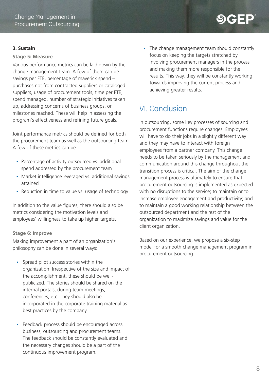#### **3. Sustain**

#### **Stage 5: Measure**

Various performance metrics can be laid down by the change management team. A few of them can be savings per FTE, percentage of maverick spend – purchases not from contracted suppliers or cataloged suppliers, usage of procurement tools, time per FTE, spend managed, number of strategic initiatives taken up, addressing concerns of business groups, or milestones reached. These will help in assessing the program's effectiveness and refining future goals.

Joint performance metrics should be defined for both the procurement team as well as the outsourcing team. A few of these metrics can be:

- Percentage of activity outsourced vs. additional spend addressed by the procurement team
- Market intelligence leveraged vs. additional savings attained
- Reduction in time to value vs. usage of technology

In addition to the value figures, there should also be metrics considering the motivation levels and employees' willingness to take up higher targets.

#### **Stage 6: Improve**

Making improvement a part of an organization's philosophy can be done in several ways:

- Spread pilot success stories within the organization. Irrespective of the size and impact of the accomplishment, these should be wellpublicized. The stories should be shared on the internal portals, during team meetings, conferences, etc. They should also be incorporated in the corporate training material as best practices by the company.
- Feedback process should be encouraged across business, outsourcing and procurement teams. The feedback should be constantly evaluated and the necessary changes should be a part of the continuous improvement program.

• The change management team should constantly focus on keeping the targets stretched by involving procurement managers in the process and making them more responsible for the results. This way, they will be constantly working towards improving the current process and achieving greater results.

**SCFP** 

# VI. Conclusion

In outsourcing, some key processes of sourcing and procurement functions require changes. Employees will have to do their jobs in a slightly different way and they may have to interact with foreign employees from a partner company. This change needs to be taken seriously by the management and communication around this change throughout the transition process is critical. The aim of the change management process is ultimately to ensure that procurement outsourcing is implemented as expected with no disruptions to the service; to maintain or to increase employee engagement and productivity; and to maintain a good working relationship between the outsourced department and the rest of the organization to maximize savings and value for the client organization.

Based on our experience, we propose a six-step model for a smooth change management program in procurement outsourcing.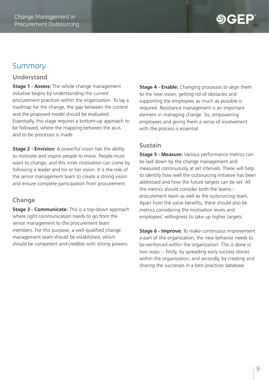# Summary

#### **Understand**

**Stage 1 - Assess:** The whole change management initiative begins by understanding the current procurement practices within the organization. To lay a roadmap for the change, the gap between the current and the proposed model should be evaluated. Essentially, this stage requires a bottom-up approach to be followed, where the mapping between the as-is and to-be processes is made.

**Stage 2 - Envision:** A powerful vision has the ability to motivate and inspire people to move. People must want to change, and this inner motivation can come by following a leader and his or her vision. It is the role of the senior management team to create a strong vision and ensure complete participation from procurement.

### **Change**

**Stage 3 - Communicate:** This is a top-down approach where right communication needs to go from the senior management to the procurement team members. For this purpose, a well-qualified change management team should be established, which should be competent and credible with strong powers.

**Stage 4 - Enable:** Changing processes to align them to the new vision, getting rid of obstacles and supporting the employees as much as possible is required. Resistance management is an important element in managing change. So, empowering employees and giving them a sense of involvement with the process is essential.

#### **Sustain**

**Stage 5 - Measure:** Various performance metrics can be laid down by the change management and measured continuously at set intervals. These will help to identify how well the outsourcing initiative has been addressed and how the future targets can be set. All the metrics should consider both the teams procurement team as well as the outsourcing team. Apart from the value benefits, there should also be metrics considering the motivation levels and employees' willingness to take up higher targets.

**Stage 6 - Improve:** To make continuous improvement a part of the organization, the new behavior needs to be reinforced within the organization. This is done in two ways -- firstly, by spreading early success stories within the organization, and secondly, by creating and sharing the successes in a best practices database.